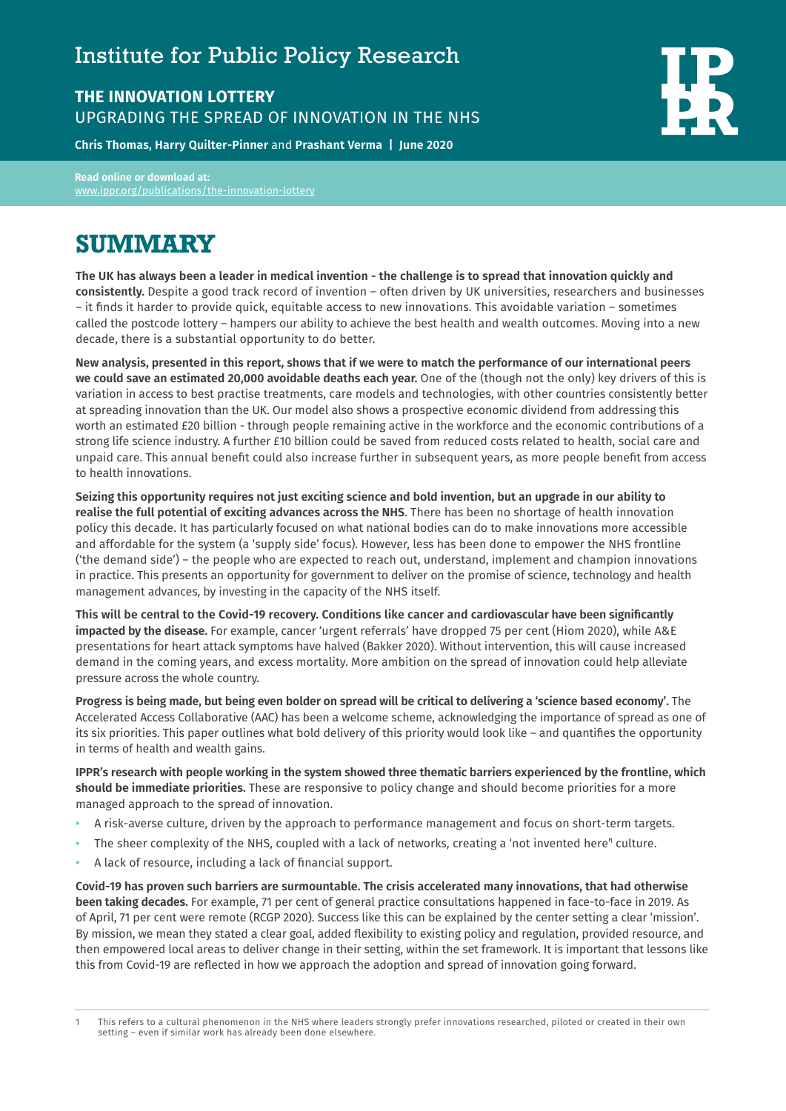## Institute for Public Policy Research

## **THE INNOVATION LOTTERY** UPGRADING THE SPREAD OF INNOVATION IN THE NHS

**Chris Thomas, Harry Quilter-Pinner** and **Prashant Verma | June 2020**

**Read online or download at:**  [www.ippr.org/publications/](http://www.ippr.org/publications/the-innovation-lottery)the-innovation-lottery

## **SUMMARY**

**The UK has always been a leader in medical invention - the challenge is to spread that innovation quickly and consistently.** Despite a good track record of invention – often driven by UK universities, researchers and businesses – it finds it harder to provide quick, equitable access to new innovations. This avoidable variation – sometimes called the postcode lottery – hampers our ability to achieve the best health and wealth outcomes. Moving into a new decade, there is a substantial opportunity to do better.

**New analysis, presented in this report, shows that if we were to match the performance of our international peers we could save an estimated 20,000 avoidable deaths each year.** One of the (though not the only) key drivers of this is variation in access to best practise treatments, care models and technologies, with other countries consistently better at spreading innovation than the UK. Our model also shows a prospective economic dividend from addressing this worth an estimated £20 billion - through people remaining active in the workforce and the economic contributions of a strong life science industry. A further £10 billion could be saved from reduced costs related to health, social care and unpaid care. This annual benefit could also increase further in subsequent years, as more people benefit from access to health innovations.

**Seizing this opportunity requires not just exciting science and bold invention, but an upgrade in our ability to realise the full potential of exciting advances across the NHS**. There has been no shortage of health innovation policy this decade. It has particularly focused on what national bodies can do to make innovations more accessible and affordable for the system (a 'supply side' focus). However, less has been done to empower the NHS frontline ('the demand side') – the people who are expected to reach out, understand, implement and champion innovations in practice. This presents an opportunity for government to deliver on the promise of science, technology and health management advances, by investing in the capacity of the NHS itself.

**This will be central to the Covid-19 recovery. Conditions like cancer and cardiovascular have been significantly impacted by the disease.** For example, cancer 'urgent referrals' have dropped 75 per cent (Hiom 2020), while A&E presentations for heart attack symptoms have halved (Bakker 2020). Without intervention, this will cause increased demand in the coming years, and excess mortality. More ambition on the spread of innovation could help alleviate pressure across the whole country.

**Progress is being made, but being even bolder on spread will be critical to delivering a 'science based economy'.** The Accelerated Access Collaborative (AAC) has been a welcome scheme, acknowledging the importance of spread as one of its six priorities. This paper outlines what bold delivery of this priority would look like – and quantifies the opportunity in terms of health and wealth gains.

**IPPR's research with people working in the system showed three thematic barriers experienced by the frontline, which should be immediate priorities.** These are responsive to policy change and should become priorities for a more managed approach to the spread of innovation.

- **•** A risk-averse culture, driven by the approach to performance management and focus on short-term targets.
- The sheer complexity of the NHS, coupled with a lack of networks, creating a 'not invented here'<sup>,</sup> culture.
- **•** A lack of resource, including a lack of financial support.

**Covid-19 has proven such barriers are surmountable. The crisis accelerated many innovations, that had otherwise been taking decades.** For example, 71 per cent of general practice consultations happened in face-to-face in 2019. As of April, 71 per cent were remote (RCGP 2020). Success like this can be explained by the center setting a clear 'mission'. By mission, we mean they stated a clear goal, added flexibility to existing policy and regulation, provided resource, and then empowered local areas to deliver change in their setting, within the set framework. It is important that lessons like this from Covid-19 are reflected in how we approach the adoption and spread of innovation going forward.

<sup>1</sup> This refers to a cultural phenomenon in the NHS where leaders strongly prefer innovations researched, piloted or created in their own setting – even if similar work has already been done elsewhere.